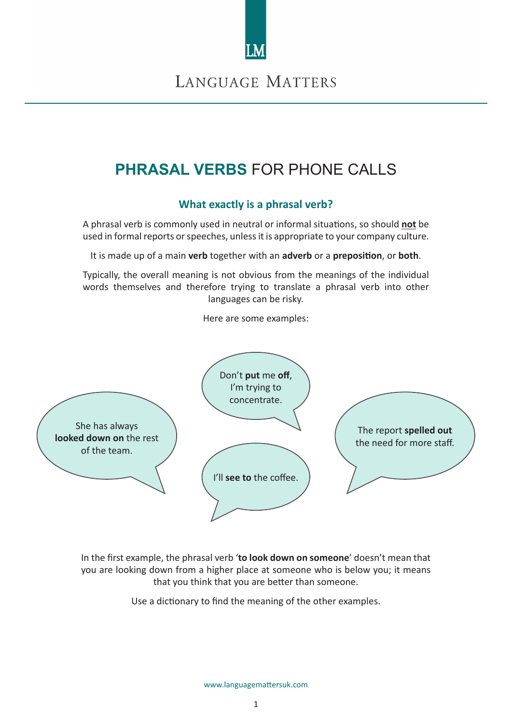

# **PHRASAL VERBS** FOR PHONE CALLS

## **What exactly is a phrasal verb?**

A phrasal verb is commonly used in neutral or informal situations, so should **not** be used in formal reports or speeches, unless it is appropriate to your company culture.

It is made up of a main **verb** together with an **adverb** or a **preposition**, or **both**.

Typically, the overall meaning is not obvious from the meanings of the individual words themselves and therefore trying to translate a phrasal verb into other languages can be risky.

Here are some examples:



In the first example, the phrasal verb '**to look down on someone**' doesn't mean that you are looking down from a higher place at someone who is below you; it means that you think that you are better than someone.

Use a dictionary to find the meaning of the other examples.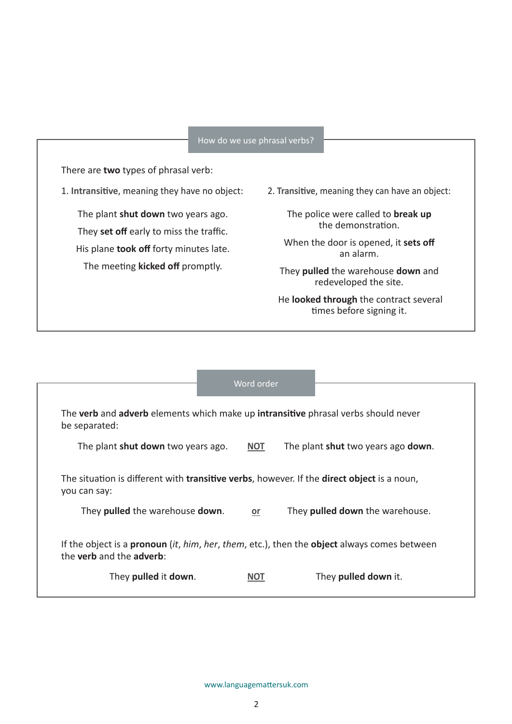### How do we use phrasal verbs?

There are **two** types of phrasal verb:

1. **Intransitive**, meaning they have no object:

The plant **shut down** two years ago. They **set off** early to miss the traffic. His plane **took off** forty minutes late. The meeting **kicked off** promptly.

2. **Transitive**, meaning they can have an object:

The police were called to **break up** the demonstration.

When the door is opened, it **sets off** an alarm.

They **pulled** the warehouse **down** and redeveloped the site.

 He **looked through** the contract several times before signing it.

### Word order

| The verb and adverb elements which make up intransitive phrasal verbs should never<br>be separated:                                                  |            |                                    |  |  |
|------------------------------------------------------------------------------------------------------------------------------------------------------|------------|------------------------------------|--|--|
| The plant shut down two years ago.                                                                                                                   | <b>NOT</b> | The plant shut two years ago down. |  |  |
| The situation is different with transitive verbs, however. If the direct object is a noun,<br>you can say:                                           |            |                                    |  |  |
| They pulled the warehouse down.                                                                                                                      | or         | They pulled down the warehouse.    |  |  |
| If the object is a <b>pronoun</b> (it, him, her, them, etc.), then the <b>object</b> always comes between<br>the <b>verb</b> and the <b>adverb</b> : |            |                                    |  |  |
| They pulled it down.                                                                                                                                 | NOT        | They pulled down it.               |  |  |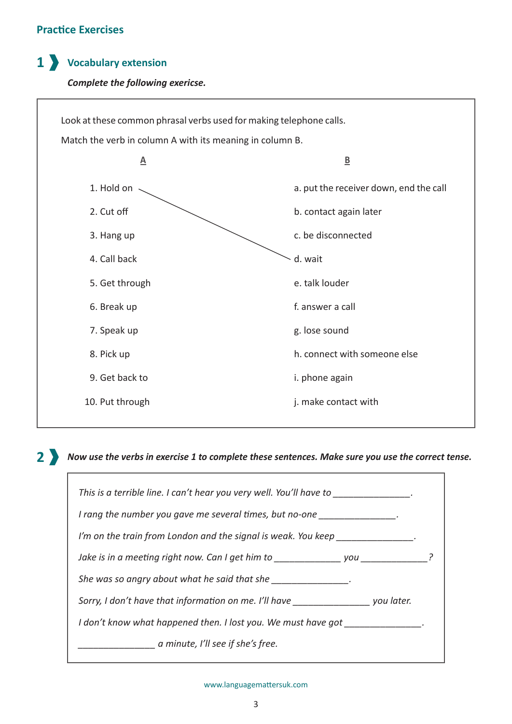## **Practice Exercises**

## **Vocabulary extension 1**

## *Complete the following exericse.*



*Now use the verbs in exercise 1 to complete these sentences. Make sure you use the correct tense.* **2**

| This is a terrible line. I can't hear you very well. You'll have to merricular contain- |  |  |
|-----------------------------------------------------------------------------------------|--|--|
| I rang the number you gave me several times, but no-one ______________.                 |  |  |
| I'm on the train from London and the signal is weak. You keep                           |  |  |
| Jake is in a meeting right now. Can I get him to you                                    |  |  |
| She was so angry about what he said that she                                            |  |  |
| Sorry, I don't have that information on me. I'll have you later.                        |  |  |
| I don't know what happened then. I lost you. We must have got                           |  |  |
| a minute, I'll see if she's free.                                                       |  |  |
|                                                                                         |  |  |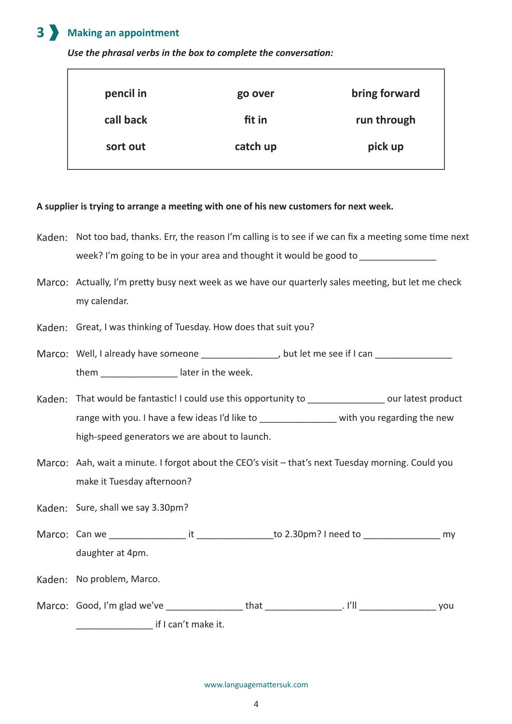#### **Making an appointment 3**

*Use the phrasal verbs in the box to complete the conversation:*

| pencil in | go over  | bring forward |
|-----------|----------|---------------|
| call back | fit in   | run through   |
| sort out  | catch up | pick up       |

## **A supplier is trying to arrange a meeting with one of his new customers for next week.**

- Kaden: Not too bad, thanks. Err, the reason I'm calling is to see if we can fix a meeting some time next week? I'm going to be in your area and thought it would be good to *\_\_\_\_\_\_\_\_\_\_\_\_\_\_\_*
- Marco: Actually, I'm pretty busy next week as we have our quarterly sales meeting, but let me check my calendar.
- Kaden: Great, I was thinking of Tuesday. How does that suit you?
- Marco: Well, I already have someone \_\_\_\_\_\_\_\_\_\_\_\_\_\_\_\_, but let me see if I can \_\_\_\_\_\_\_\_\_\_\_\_\_\_\_\_ them  $\qquad \qquad$  later in the week.
- Kaden: That would be fantastic! I could use this opportunity to \_\_\_\_\_\_\_\_\_\_\_\_\_\_\_\_ our latest product range with you. I have a few ideas I'd like to \_\_\_\_\_\_\_\_\_\_\_\_\_\_\_\_ with you regarding the new high-speed generators we are about to launch.
- Marco: Aah, wait a minute. I forgot about the CEO's visit that's next Tuesday morning. Could you make it Tuesday afternoon?
- Kaden: Sure, shall we say 3.30pm?
- Can we \_\_\_\_\_\_\_\_\_\_\_\_\_\_\_ it \_\_\_\_\_\_\_\_\_\_\_\_\_\_\_to 2.30pm? I need to \_\_\_\_\_\_\_\_\_\_\_\_\_\_\_ my Marco: daughter at 4pm.
- Kaden: No problem, Marco.

| Marco: Good, I'm glad we've |                     | that | vou |
|-----------------------------|---------------------|------|-----|
|                             | if I can't make it. |      |     |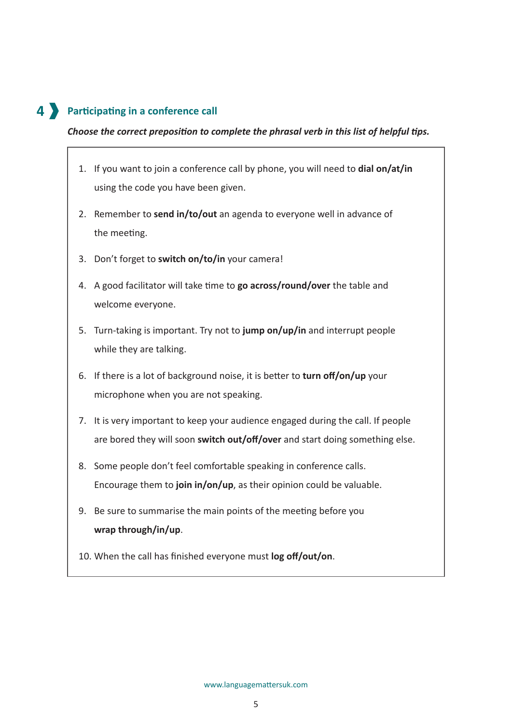# **Participating in a conference call 4**

## *Choose the correct preposition to complete the phrasal verb in this list of helpful tips.*

- 1. If you want to join a conference call by phone, you will need to **dial on/at/in** using the code you have been given.
- 2. Remember to **send in/to/out** an agenda to everyone well in advance of the meeting.
- 3. Don't forget to **switch on/to/in** your camera!
- 4. A good facilitator will take time to **go across/round/over** the table and welcome everyone.
- 5. Turn-taking is important. Try not to **jump on/up/in** and interrupt people while they are talking.
- 6. If there is a lot of background noise, it is better to **turn off/on/up** your microphone when you are not speaking.
- 7. It is very important to keep your audience engaged during the call. If people are bored they will soon **switch out/off/over** and start doing something else.
- 8. Some people don't feel comfortable speaking in conference calls. Encourage them to **join in/on/up**, as their opinion could be valuable.
- 9. Be sure to summarise the main points of the meeting before you **wrap through/in/up**.
- 10. When the call has finished everyone must **log off/out/on**.